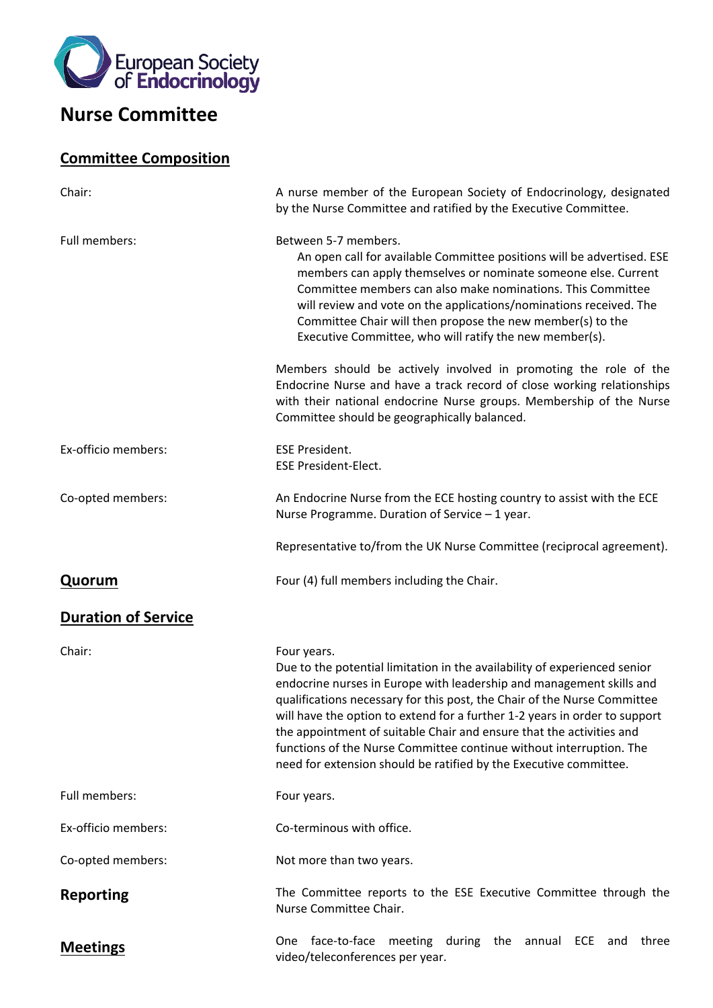

# **Nurse Committee**

## **Committee Composition**

| Chair:                     | A nurse member of the European Society of Endocrinology, designated<br>by the Nurse Committee and ratified by the Executive Committee.                                                                                                                                                                                                                                                                                                                                                                                                         |
|----------------------------|------------------------------------------------------------------------------------------------------------------------------------------------------------------------------------------------------------------------------------------------------------------------------------------------------------------------------------------------------------------------------------------------------------------------------------------------------------------------------------------------------------------------------------------------|
| Full members:              | Between 5-7 members.<br>An open call for available Committee positions will be advertised. ESE<br>members can apply themselves or nominate someone else. Current<br>Committee members can also make nominations. This Committee<br>will review and vote on the applications/nominations received. The<br>Committee Chair will then propose the new member(s) to the<br>Executive Committee, who will ratify the new member(s).                                                                                                                 |
|                            | Members should be actively involved in promoting the role of the<br>Endocrine Nurse and have a track record of close working relationships<br>with their national endocrine Nurse groups. Membership of the Nurse<br>Committee should be geographically balanced.                                                                                                                                                                                                                                                                              |
| Ex-officio members:        | <b>ESE President.</b><br><b>ESE President-Elect.</b>                                                                                                                                                                                                                                                                                                                                                                                                                                                                                           |
| Co-opted members:          | An Endocrine Nurse from the ECE hosting country to assist with the ECE<br>Nurse Programme. Duration of Service - 1 year.                                                                                                                                                                                                                                                                                                                                                                                                                       |
|                            | Representative to/from the UK Nurse Committee (reciprocal agreement).                                                                                                                                                                                                                                                                                                                                                                                                                                                                          |
| <b>Quorum</b>              | Four (4) full members including the Chair.                                                                                                                                                                                                                                                                                                                                                                                                                                                                                                     |
| <b>Duration of Service</b> |                                                                                                                                                                                                                                                                                                                                                                                                                                                                                                                                                |
| Chair:                     | Four years.<br>Due to the potential limitation in the availability of experienced senior<br>endocrine nurses in Europe with leadership and management skills and<br>qualifications necessary for this post, the Chair of the Nurse Committee<br>will have the option to extend for a further 1-2 years in order to support<br>the appointment of suitable Chair and ensure that the activities and<br>functions of the Nurse Committee continue without interruption. The<br>need for extension should be ratified by the Executive committee. |
| Full members:              | Four years.                                                                                                                                                                                                                                                                                                                                                                                                                                                                                                                                    |
| Ex-officio members:        | Co-terminous with office.                                                                                                                                                                                                                                                                                                                                                                                                                                                                                                                      |
| Co-opted members:          | Not more than two years.                                                                                                                                                                                                                                                                                                                                                                                                                                                                                                                       |
| <b>Reporting</b>           | The Committee reports to the ESE Executive Committee through the<br>Nurse Committee Chair.                                                                                                                                                                                                                                                                                                                                                                                                                                                     |
| <b>Meetings</b>            | face-to-face<br>meeting during the annual ECE and<br>three<br><b>One</b><br>video/teleconferences per year.                                                                                                                                                                                                                                                                                                                                                                                                                                    |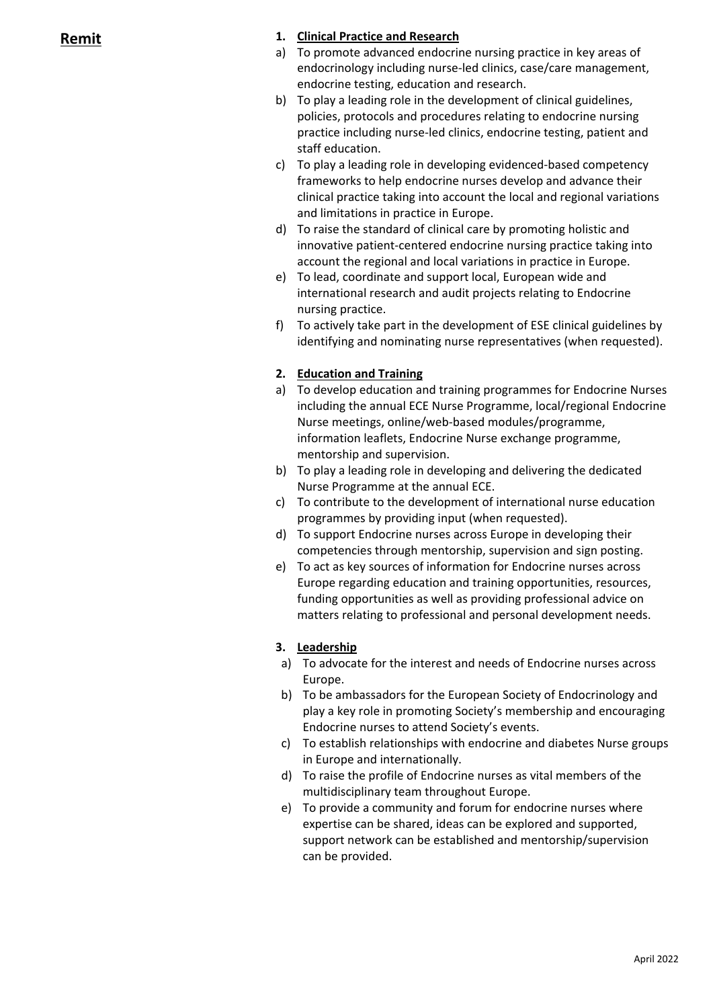### **Remit 1. Clinical Practice and Research**

- a) To promote advanced endocrine nursing practice in key areas of endocrinology including nurse-led clinics, case/care management, endocrine testing, education and research.
- b) To play a leading role in the development of clinical guidelines, policies, protocols and procedures relating to endocrine nursing practice including nurse-led clinics, endocrine testing, patient and staff education.
- c) To play a leading role in developing evidenced-based competency frameworks to help endocrine nurses develop and advance their clinical practice taking into account the local and regional variations and limitations in practice in Europe.
- d) To raise the standard of clinical care by promoting holistic and innovative patient-centered endocrine nursing practice taking into account the regional and local variations in practice in Europe.
- e) To lead, coordinate and support local, European wide and international research and audit projects relating to Endocrine nursing practice.
- f) To actively take part in the development of ESE clinical guidelines by identifying and nominating nurse representatives (when requested).

### **2. Education and Training**

- a) To develop education and training programmes for Endocrine Nurses including the annual ECE Nurse Programme, local/regional Endocrine Nurse meetings, online/web-based modules/programme, information leaflets, Endocrine Nurse exchange programme, mentorship and supervision.
- b) To play a leading role in developing and delivering the dedicated Nurse Programme at the annual ECE.
- c) To contribute to the development of international nurse education programmes by providing input (when requested).
- d) To support Endocrine nurses across Europe in developing their competencies through mentorship, supervision and sign posting.
- e) To act as key sources of information for Endocrine nurses across Europe regarding education and training opportunities, resources, funding opportunities as well as providing professional advice on matters relating to professional and personal development needs.

### **3. Leadership**

- a) To advocate for the interest and needs of Endocrine nurses across Europe.
- b) To be ambassadors for the European Society of Endocrinology and play a key role in promoting Society's membership and encouraging Endocrine nurses to attend Society's events.
- c) To establish relationships with endocrine and diabetes Nurse groups in Europe and internationally.
- d) To raise the profile of Endocrine nurses as vital members of the multidisciplinary team throughout Europe.
- e) To provide a community and forum for endocrine nurses where expertise can be shared, ideas can be explored and supported, support network can be established and mentorship/supervision can be provided.